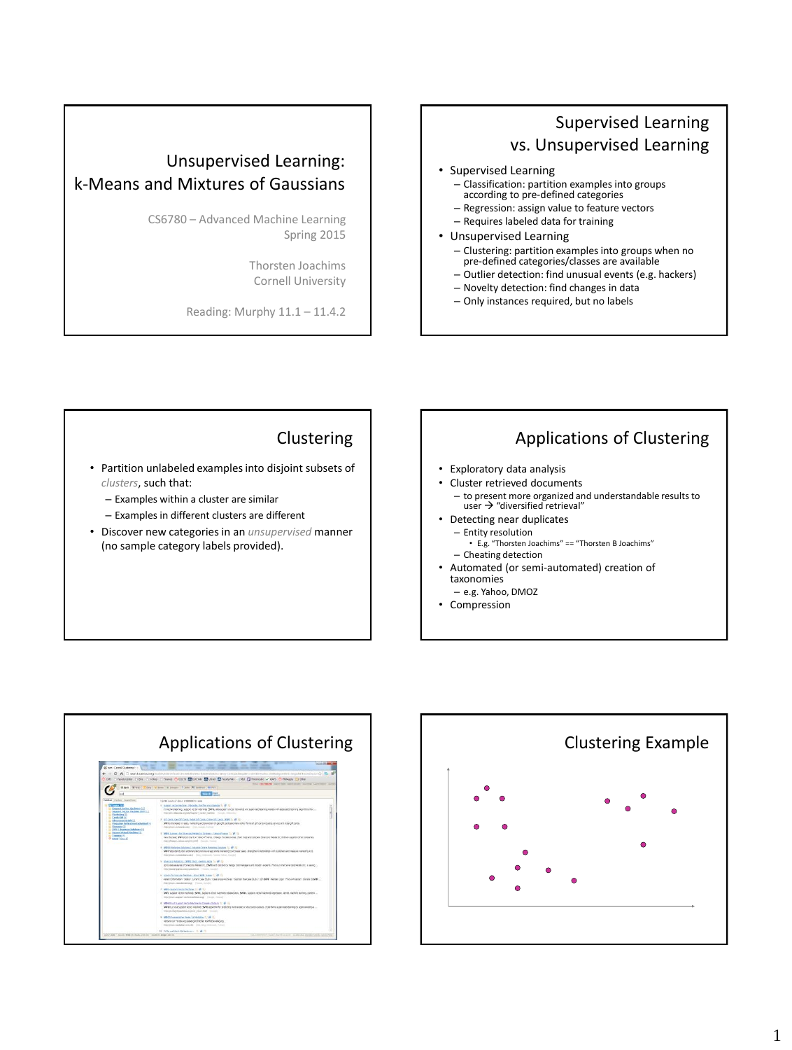# Unsupervised Learning: k-Means and Mixtures of Gaussians

CS6780 – Advanced Machine Learning Spring 2015

> Thorsten Joachims Cornell University

Reading: Murphy 11.1 – 11.4.2

## Supervised Learning vs. Unsupervised Learning

#### • Supervised Learning

- Classification: partition examples into groups according to pre-defined categories
- Regression: assign value to feature vectors
- Requires labeled data for training
- Unsupervised Learning
	- Clustering: partition examples into groups when no pre-defined categories/classes are available
	- Outlier detection: find unusual events (e.g. hackers)
	- Novelty detection: find changes in data
	- Only instances required, but no labels

#### Clustering

- Partition unlabeled examples into disjoint subsets of *clusters*, such that:
	- Examples within a cluster are similar
	- Examples in different clusters are different
- Discover new categories in an *unsupervised* manner (no sample category labels provided).

## Applications of Clustering

- Exploratory data analysis
- Cluster retrieved documents – to present more organized and understandable results to  $user \rightarrow$  "diversified retrieval"
- Detecting near duplicates
	- Entity resolution • E.g. "Thorsten Joachims" == "Thorsten B Joachims" – Cheating detection
- Automated (or semi-automated) creation of taxonomies
- e.g. Yahoo, DMOZ
- Compression



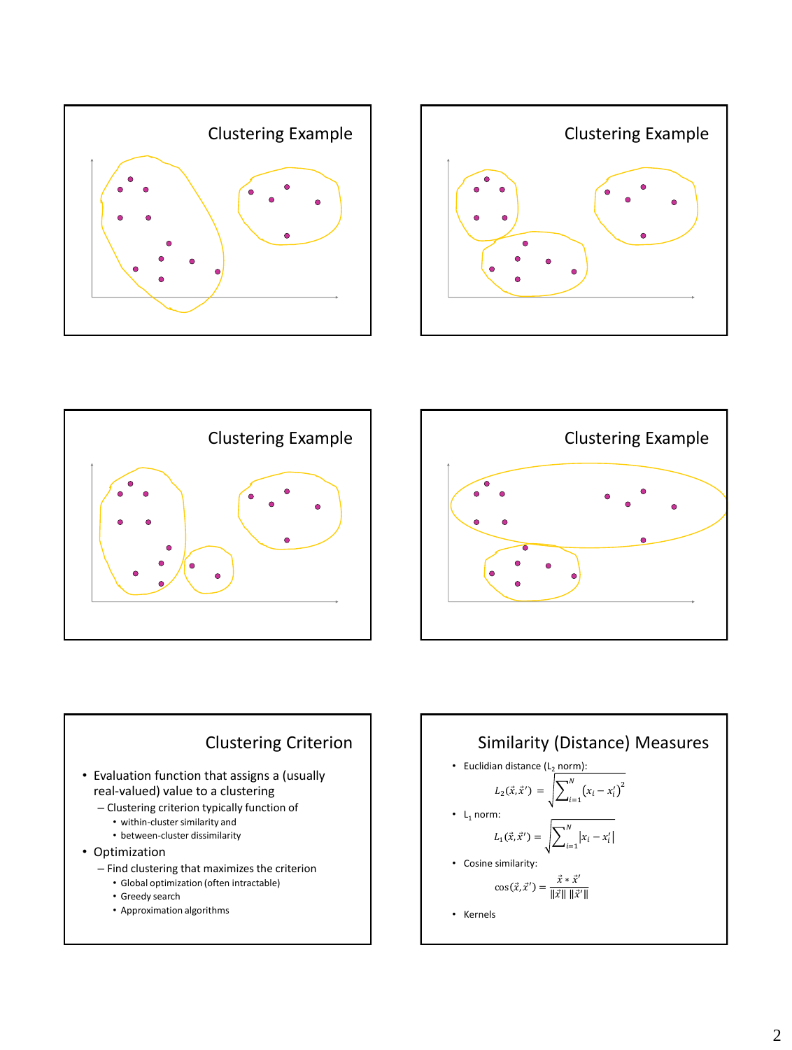









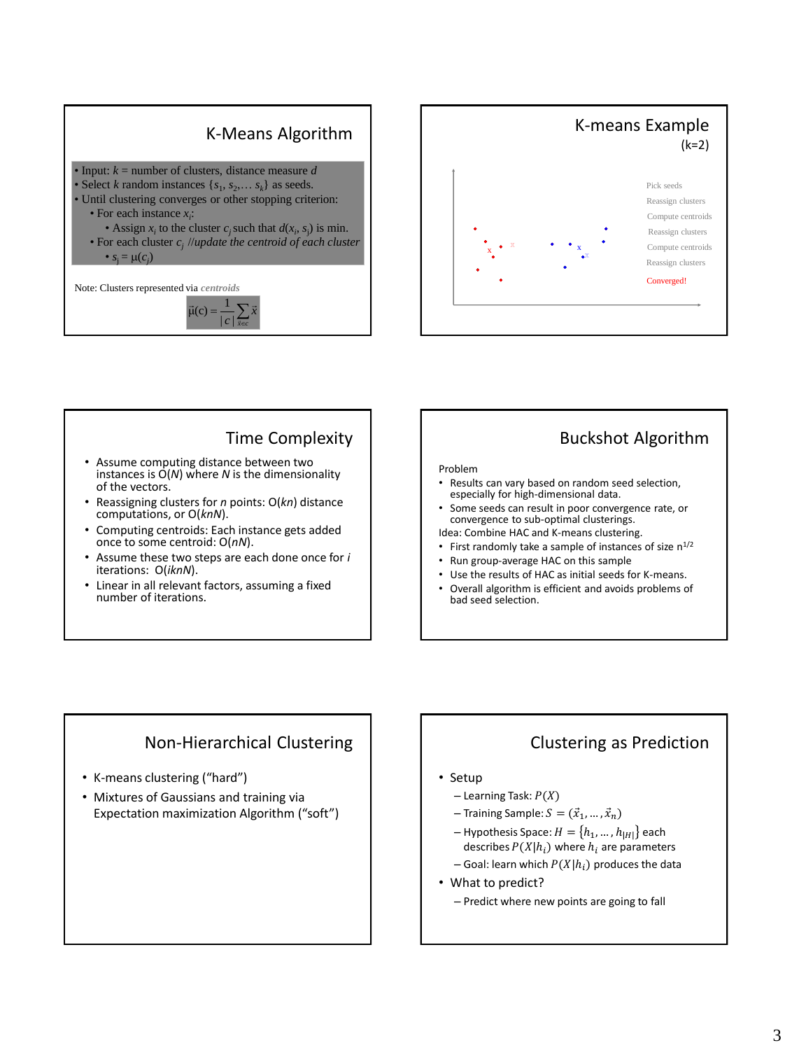





### Time Complexity

- Assume computing distance between two instances is  $O(N)$  where *N* is the dimensionality of the vectors.
- Reassigning clusters for *n* points: O(*kn*) distance computations, or O(*knN*).
- Computing centroids: Each instance gets added once to some centroid: O(*nN*).
- Assume these two steps are each done once for *i* iterations: O(*iknN*).
- Linear in all relevant factors, assuming a fixed number of iterations.

## Buckshot Algorithm

#### Problem

- Results can vary based on random seed selection, especially for high-dimensional data.
- Some seeds can result in poor convergence rate, or convergence to sub-optimal clusterings.
- Idea: Combine HAC and K-means clustering. • First randomly take a sample of instances of size  $n^{1/2}$
- Run group-average HAC on this sample
- Use the results of HAC as initial seeds for K-means.
- Overall algorithm is efficient and avoids problems of bad seed selection.

#### Non-Hierarchical Clustering

- K-means clustering ("hard")
- Mixtures of Gaussians and training via Expectation maximization Algorithm ("soft")

## Clustering as Prediction

#### • Setup

- $-$  Learning Task:  $P(X)$
- Training Sample:  $S = (\vec{x}_1, ..., \vec{x}_n)$
- Hypothesis Space:  $H = \{h_1, ..., h_{|H|}\}$  each describes  $P(X|h_i)$  where  $h_i$  are parameters
- Goal: learn which  $P(X|h_i)$  produces the data
- What to predict?
	- Predict where new points are going to fall